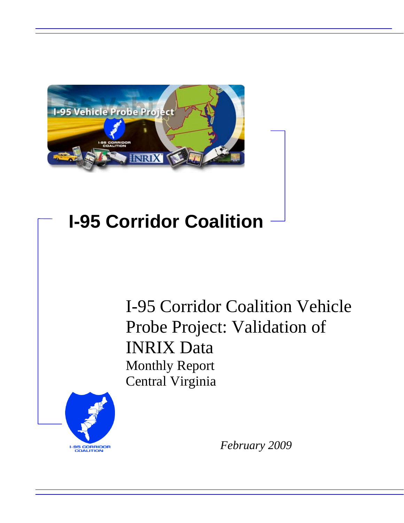

# **I-95 Corridor Coalition**

I-95 Corridor Coalition Vehicle Probe Project: Validation of INRIX Data Monthly Report Central Virginia



*February 2009*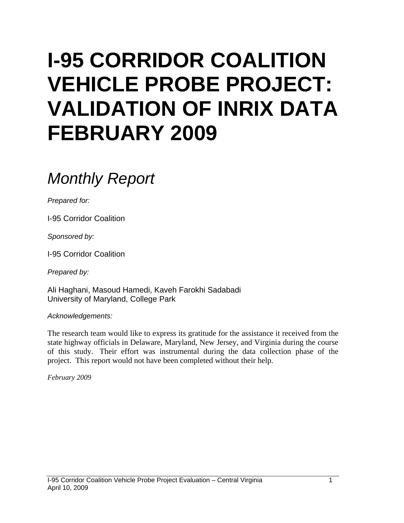# **I-95 CORRIDOR COALITION VEHICLE PROBE PROJECT: VALIDATION OF INRIX DATA FEBRUARY 2009**

# *Monthly Report*

*Prepared for:* 

I-95 Corridor Coalition

*Sponsored by:* 

I-95 Corridor Coalition

*Prepared by:* 

Ali Haghani, Masoud Hamedi, Kaveh Farokhi Sadabadi University of Maryland, College Park

*Acknowledgements:* 

The research team would like to express its gratitude for the assistance it received from the state highway officials in Delaware, Maryland, New Jersey, and Virginia during the course of this study. Their effort was instrumental during the data collection phase of the project. This report would not have been completed without their help.

*February 2009*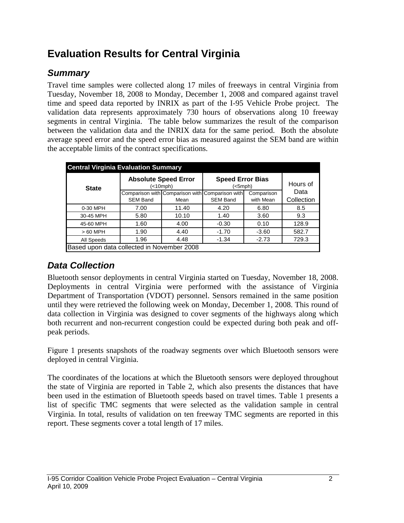# **Evaluation Results for Central Virginia**

## *Summary*

Travel time samples were collected along 17 miles of freeways in central Virginia from Tuesday, November 18, 2008 to Monday, December 1, 2008 and compared against travel time and speed data reported by INRIX as part of the I-95 Vehicle Probe project. The validation data represents approximately 730 hours of observations along 10 freeway segments in central Virginia. The table below summarizes the result of the comparison between the validation data and the INRIX data for the same period. Both the absolute average speed error and the speed error bias as measured against the SEM band are within the acceptable limits of the contract specifications.

| <b>Central Virginia Evaluation Summary</b> |                 |                                          |                                                 |            |            |  |  |  |  |
|--------------------------------------------|-----------------|------------------------------------------|-------------------------------------------------|------------|------------|--|--|--|--|
| <b>State</b>                               |                 | <b>Absolute Speed Error</b><br>(<10 mph) | <b>Speed Error Bias</b><br>(<5mph)              | Hours of   |            |  |  |  |  |
|                                            |                 |                                          | Comparison with Comparison with Comparison with | Comparison | Data       |  |  |  |  |
|                                            | <b>SEM Band</b> | Mean                                     | <b>SEM Band</b>                                 | with Mean  | Collection |  |  |  |  |
| 0-30 MPH                                   | 7.00            | 11.40                                    | 4.20                                            | 6.80       | 8.5        |  |  |  |  |
| 30-45 MPH                                  | 5.80            | 10.10                                    | 1.40                                            | 3.60       | 9.3        |  |  |  |  |
| 45-60 MPH                                  | 1.60            | 4.00                                     | $-0.30$                                         | 0.10       | 128.9      |  |  |  |  |
| $>60$ MPH                                  | 1.90            | 4.40                                     | $-1.70$                                         | $-3.60$    | 582.7      |  |  |  |  |
| All Speeds                                 | 1.96            | 4.48                                     | $-1.34$                                         | $-2.73$    | 729.3      |  |  |  |  |
| Based upon data collected in November 2008 |                 |                                          |                                                 |            |            |  |  |  |  |

# *Data Collection*

Bluetooth sensor deployments in central Virginia started on Tuesday, November 18, 2008. Deployments in central Virginia were performed with the assistance of Virginia Department of Transportation (VDOT) personnel. Sensors remained in the same position until they were retrieved the following week on Monday, December 1, 2008. This round of data collection in Virginia was designed to cover segments of the highways along which both recurrent and non-recurrent congestion could be expected during both peak and offpeak periods.

Figure 1 presents snapshots of the roadway segments over which Bluetooth sensors were deployed in central Virginia.

The coordinates of the locations at which the Bluetooth sensors were deployed throughout the state of Virginia are reported in Table 2, which also presents the distances that have been used in the estimation of Bluetooth speeds based on travel times. Table 1 presents a list of specific TMC segments that were selected as the validation sample in central Virginia. In total, results of validation on ten freeway TMC segments are reported in this report. These segments cover a total length of 17 miles.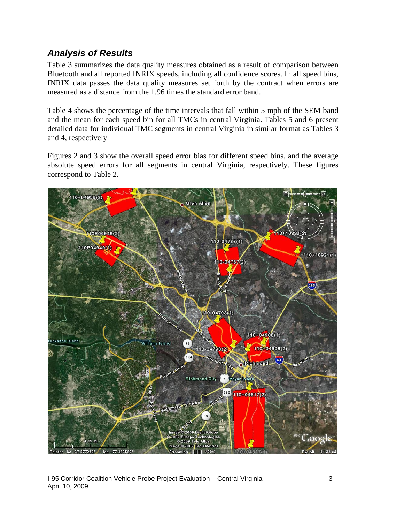### *Analysis of Results*

Table 3 summarizes the data quality measures obtained as a result of comparison between Bluetooth and all reported INRIX speeds, including all confidence scores. In all speed bins, INRIX data passes the data quality measures set forth by the contract when errors are measured as a distance from the 1.96 times the standard error band.

Table 4 shows the percentage of the time intervals that fall within 5 mph of the SEM band and the mean for each speed bin for all TMCs in central Virginia. Tables 5 and 6 present detailed data for individual TMC segments in central Virginia in similar format as Tables 3 and 4, respectively

Figures 2 and 3 show the overall speed error bias for different speed bins, and the average absolute speed errors for all segments in central Virginia, respectively. These figures correspond to Table 2.

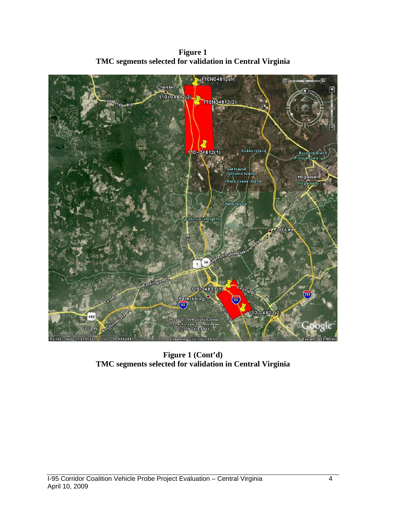

**Figure 1 TMC segments selected for validation in Central Virginia** 

**Figure 1 (Cont'd) TMC segments selected for validation in Central Virginia**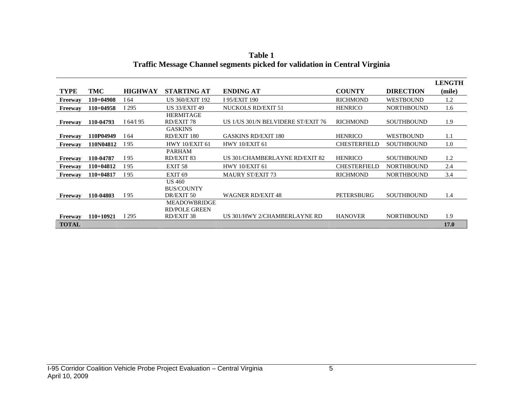|                |             |                |                        |                                    |                     |                   | <b>LENGTH</b> |
|----------------|-------------|----------------|------------------------|------------------------------------|---------------------|-------------------|---------------|
| <b>TYPE</b>    | TMC         | <b>HIGHWAY</b> | <b>STARTING AT</b>     | <b>ENDING AT</b>                   | <b>COUNTY</b>       | <b>DIRECTION</b>  | (mile)        |
| <b>Freeway</b> | $110+04908$ | I 64           | <b>US 360/EXIT 192</b> | I 95/EXIT 190                      | <b>RICHMOND</b>     | <b>WESTBOUND</b>  | 1.2           |
| Freeway        | $110+04958$ | I 295          | <b>US 33/EXIT 49</b>   | NUCKOLS RD/EXIT 51                 | <b>HENRICO</b>      | <b>NORTHBOUND</b> | 1.6           |
|                |             |                | <b>HERMITAGE</b>       |                                    |                     |                   |               |
| Freeway        | 110-04793   | $I\,64/I\,95$  | RD/EXIT 78             | US 1/US 301/N BELVIDERE ST/EXIT 76 | <b>RICHMOND</b>     | <b>SOUTHBOUND</b> | 1.9           |
|                |             |                | <b>GASKINS</b>         |                                    |                     |                   |               |
| Freeway        | 110P04949   | I 64           | RD/EXIT 180            | <b>GASKINS RD/EXIT 180</b>         | <b>HENRICO</b>      | <b>WESTBOUND</b>  | 1.1           |
| Freeway        | 110N04812   | I 95           | <b>HWY 10/EXIT 61</b>  | HWY 10/EXIT 61                     | <b>CHESTERFIELD</b> | <b>SOUTHBOUND</b> | 1.0           |
|                |             |                | <b>PARHAM</b>          |                                    |                     |                   |               |
| Freeway        | 110-04787   | I 95           | RD/EXIT 83             | US 301/CHAMBERLAYNE RD/EXIT 82     | <b>HENRICO</b>      | <b>SOUTHBOUND</b> | 1.2           |
| Freeway        | $110+04812$ | I 95           | EXIT <sub>58</sub>     | HWY 10/EXIT 61                     | <b>CHESTERFIELD</b> | <b>NORTHBOUND</b> | 2.4           |
| Freeway        | $110+04817$ | I 95           | EXIT <sub>69</sub>     | <b>MAURY ST/EXIT 73</b>            | <b>RICHMOND</b>     | <b>NORTHBOUND</b> | 3.4           |
|                |             |                | <b>US 460</b>          |                                    |                     |                   |               |
|                |             |                | <b>BUS/COUNTY</b>      |                                    |                     |                   |               |
| Freeway        | 110-04803   | I 95           | DR/EXIT 50             | <b>WAGNER RD/EXIT 48</b>           | <b>PETERSBURG</b>   | <b>SOUTHBOUND</b> | 1.4           |
|                |             |                | <b>MEADOWBRIDGE</b>    |                                    |                     |                   |               |
|                |             |                | <b>RD/POLE GREEN</b>   |                                    |                     |                   |               |
| Freeway        | $110+10921$ | I 295          | RD/EXIT 38             | US 301/HWY 2/CHAMBERLAYNE RD       | <b>HANOVER</b>      | <b>NORTHBOUND</b> | 1.9           |
| <b>TOTAL</b>   |             |                |                        |                                    |                     |                   | 17.0          |

**Table 1 Traffic Message Channel segments picked for validation in Central Virginia**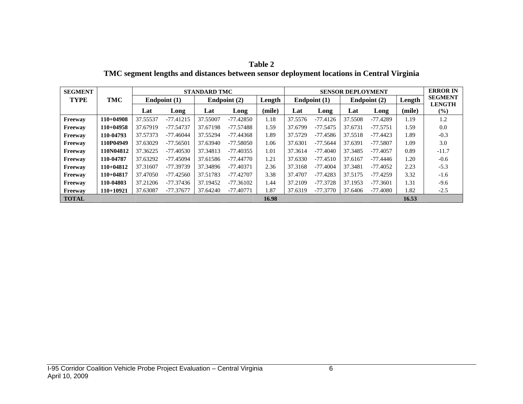| וח<br>ı<br>ı<br>п |  |
|-------------------|--|
|-------------------|--|

**TMC segment lengths and distances between sensor deployment locations in Central Virginia** 

| <b>SEGMENT</b> |             |                | <b>STANDARD TMC</b> |          |                          |        |                | <b>SENSOR DEPLOYMENT</b> |                |            |        |                                 |  |
|----------------|-------------|----------------|---------------------|----------|--------------------------|--------|----------------|--------------------------|----------------|------------|--------|---------------------------------|--|
| <b>TYPE</b>    | <b>TMC</b>  | Endpoint $(1)$ |                     |          | Length<br>Endpoint $(2)$ |        | Endpoint $(1)$ |                          | Endpoint $(2)$ |            | Length | <b>SEGMENT</b><br><b>LENGTH</b> |  |
|                |             | Lat            | Long                | Lat      | Long                     | (mile) | Lat            | Long                     | Lat            | Long       | (mile) | $(\%)$                          |  |
| Freeway        | $110+04908$ | 37.55537       | $-77.41215$         | 37.55007 | $-77.42850$              | 1.18   | 37.5576        | $-77.4126$               | 37.5508        | $-77.4289$ | 1.19   | 1.2                             |  |
| Freeway        | $110+04958$ | 37.67919       | $-77.54737$         | 37.67198 | -77.57488                | 1.59   | 37.6799        | $-77.5475$               | 37.6731        | $-77.5751$ | 1.59   | 0.0                             |  |
| Freeway        | 110-04793   | 37.57373       | $-77.46044$         | 37.55294 | -77.44368                | 1.89   | 37.5729        | $-77.4586$               | 37.5518        | $-77.4423$ | 1.89   | $-0.3$                          |  |
| Freeway        | 110P04949   | 37.63029       | $-77.56501$         | 37.63940 | $-77.58050$              | 1.06   | 37.6301        | $-77.5644$               | 37.6391        | $-77.5807$ | 1.09   | 3.0                             |  |
| Freeway        | 110N04812   | 37.36225       | $-77.40530$         | 37.34813 | -77.40355                | 1.01   | 37.3614        | -77.4040                 | 37.3485        | $-77.4057$ | 0.89   | $-11.7$                         |  |
| Freeway        | 110-04787   | 37.63292       | $-77.45094$         | 37.61586 | -77.44770                | 1.21   | 37.6330        | $-77.4510$               | 37.6167        | $-77.4446$ | 1.20   | $-0.6$                          |  |
| Freeway        | $110+04812$ | 37.31607       | -77.39739           | 37.34896 | -77.40371                | 2.36   | 37.3168        | $-77.4004$               | 37.3481        | $-77.4052$ | 2.23   | $-5.3$                          |  |
| Freeway        | $110+04817$ | 37.47050       | $-77.42560$         | 37.51783 | -77.42707                | 3.38   | 37.4707        | $-77.4283$               | 37.5175        | $-77.4259$ | 3.32   | $-1.6$                          |  |
| Freeway        | 110-04803   | 37.21206       | $-77.37436$         | 37.19452 | $-77.36102$              | 1.44   | 37.2109        | $-77.3728$               | 37.1953        | $-77.3601$ | 1.31   | $-9.6$                          |  |
| Freeway        | $110+10921$ | 37.63087       | -77.37677           | 37.64240 | $-77.40771$              | 1.87   | 37.6319        | $-77.3770$               | 37.6406        | $-77.4080$ | 1.82   | $-2.5$                          |  |
| <b>TOTAL</b>   |             |                |                     |          |                          | 16.98  |                |                          |                |            | 16.53  |                                 |  |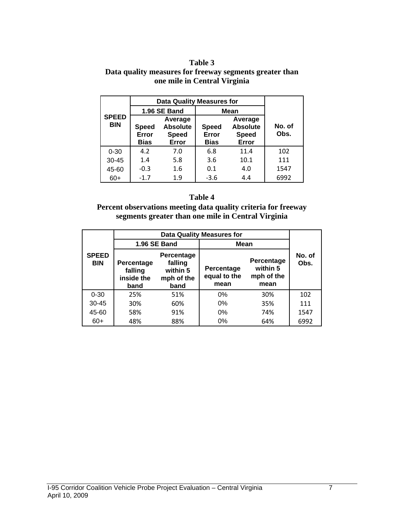#### **Table 3 Data quality measures for freeway segments greater than one mile in Central Virginia**

|                            |                                      | <b>Data Quality Measures for</b>                    |             |                                                     |                |  |  |  |  |
|----------------------------|--------------------------------------|-----------------------------------------------------|-------------|-----------------------------------------------------|----------------|--|--|--|--|
|                            |                                      | 1.96 SE Band                                        | <b>Mean</b> |                                                     |                |  |  |  |  |
| <b>SPEED</b><br><b>BIN</b> | <b>Speed</b><br>Error<br><b>Bias</b> | Average<br><b>Absolute</b><br><b>Speed</b><br>Error |             | Average<br><b>Absolute</b><br><b>Speed</b><br>Error | No. of<br>Obs. |  |  |  |  |
| $0 - 30$                   | 4.2                                  | 7.0                                                 | 6.8         | 11.4                                                | 102            |  |  |  |  |
| 30-45                      | 1.4                                  | 5.8                                                 | 3.6         | 10.1                                                | 111            |  |  |  |  |
| 45-60                      | $-0.3$                               | 1.6                                                 | 0.1         | 4.0                                                 | 1547           |  |  |  |  |
| $60+$                      | $-1.7$                               | 1.9                                                 | $-3.6$      | 4.4                                                 | 6992           |  |  |  |  |

#### **Table 4**

#### **Percent observations meeting data quality criteria for freeway segments greater than one mile in Central Virginia**

|                            |                                                                                                        | 1.96 SE Band | <b>Mean</b>                        |                                              |                |  |
|----------------------------|--------------------------------------------------------------------------------------------------------|--------------|------------------------------------|----------------------------------------------|----------------|--|
| <b>SPEED</b><br><b>BIN</b> | Percentage<br>falling<br>Percentage<br>within 5<br>falling<br>inside the<br>mph of the<br>band<br>band |              | Percentage<br>equal to the<br>mean | Percentage<br>within 5<br>mph of the<br>mean | No. of<br>Obs. |  |
| $0 - 30$                   | 25%                                                                                                    | 51%          | 0%                                 | 30%                                          | 102            |  |
| $30 - 45$                  | 30%                                                                                                    | 60%          | 0%                                 | 35%                                          | 111            |  |
| 45-60                      | 58%                                                                                                    | 91%          | 0%                                 | 74%                                          | 1547           |  |
| $60+$                      | 48%                                                                                                    | 88%          | 0%                                 | 64%                                          | 6992           |  |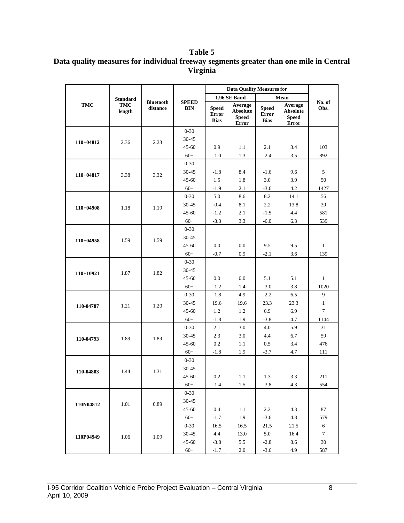### **Table 5 Data quality measures for individual freeway segments greater than one mile in Central Virginia**

|             |                      |                              |                            | <b>Data Quality Measures for</b>            |                                                     |                                             |                                                     |                  |
|-------------|----------------------|------------------------------|----------------------------|---------------------------------------------|-----------------------------------------------------|---------------------------------------------|-----------------------------------------------------|------------------|
|             | <b>Standard</b>      |                              |                            |                                             | 1.96 SE Band                                        |                                             | Mean                                                |                  |
| <b>TMC</b>  | <b>TMC</b><br>length | <b>Bluetooth</b><br>distance | <b>SPEED</b><br><b>BIN</b> | <b>Speed</b><br><b>Error</b><br><b>Bias</b> | Average<br><b>Absolute</b><br><b>Speed</b><br>Error | <b>Speed</b><br><b>Error</b><br><b>Bias</b> | Average<br><b>Absolute</b><br><b>Speed</b><br>Error | No. of<br>Obs.   |
|             |                      |                              | $0 - 30$                   |                                             |                                                     |                                             |                                                     |                  |
| $110+04812$ | 2.36                 | 2.23                         | 30-45                      |                                             |                                                     |                                             |                                                     |                  |
|             |                      |                              | $45 - 60$                  | 0.9                                         | 1.1                                                 | 2.1                                         | 3.4                                                 | 103              |
|             |                      |                              | $60+$                      | $-1.0$                                      | 1.3                                                 | $-2.4$                                      | 3.5                                                 | 892              |
|             |                      |                              | $0 - 30$                   |                                             |                                                     |                                             |                                                     |                  |
| $110+04817$ | 3.38                 | 3.32                         | 30-45                      | $-1.8$                                      | 8.4                                                 | $-1.6$                                      | 9.6                                                 | 5                |
|             |                      |                              | $45 - 60$                  | 1.5                                         | 1.8                                                 | 3.0                                         | 3.9                                                 | 50               |
|             |                      |                              | $60+$                      | $-1.9$                                      | 2.1                                                 | $-3.6$                                      | 4.2                                                 | 1427             |
|             |                      |                              | $0 - 30$                   | 5.0                                         | 8.6                                                 | 8.2                                         | 14.1                                                | 56               |
| $110+04908$ | 1.18                 | 1.19                         | 30-45                      | $-0.4$                                      | 8.1                                                 | 2.2                                         | 13.8                                                | 39               |
|             |                      |                              | $45 - 60$                  | $-1.2$                                      | 2.1                                                 | $-1.5$                                      | 4.4                                                 | 581              |
|             |                      |                              | $60+$                      | $-3.3$                                      | 3.3                                                 | $-6.0$                                      | 6.3                                                 | 539              |
|             |                      |                              | $0 - 30$                   |                                             |                                                     |                                             |                                                     |                  |
| $110+04958$ | 1.59                 | 1.59                         | 30-45                      |                                             |                                                     |                                             |                                                     |                  |
|             |                      |                              | $45 - 60$                  | 0.0                                         | 0.0                                                 | 9.5                                         | 9.5                                                 | $\mathbf{1}$     |
|             |                      |                              | $60+$                      | $-0.7$                                      | 0.9                                                 | $-2.1$                                      | 3.6                                                 | 139              |
|             | 1.87                 | 1.82                         | $0 - 30$                   |                                             |                                                     |                                             |                                                     |                  |
| 110+10921   |                      |                              | 30-45                      |                                             |                                                     |                                             |                                                     |                  |
|             |                      |                              | $45 - 60$                  | 0.0                                         | 0.0                                                 | 5.1                                         | 5.1                                                 | $\mathbf{1}$     |
|             |                      |                              | $60+$                      | $-1.2$                                      | 1.4                                                 | $-3.0$                                      | 3.8                                                 | 1020             |
|             | 1.21                 |                              | $0 - 30$                   | $-1.8$                                      | 4.9                                                 | $-2.2$                                      | 6.5                                                 | $\boldsymbol{9}$ |
| 110-04787   |                      | 1.20                         | 30-45                      | 19.6                                        | 19.6                                                | 23.3                                        | 23.3                                                | $\mathbf{1}$     |
|             |                      |                              | $45 - 60$                  | 1.2                                         | 1.2                                                 | 6.9                                         | 6.9                                                 | $\tau$           |
|             |                      |                              | $60+$                      | $-1.8$                                      | 1.9                                                 | $-3.8$                                      | 4.7                                                 | 1144             |
|             | 1.89                 |                              | $0 - 30$                   | 2.1                                         | 3.0                                                 | 4.0                                         | 5.9                                                 | 31               |
| 110-04793   |                      | 1.89                         | 30-45                      | 2.3                                         | 3.0                                                 | 4.4                                         | 6.7                                                 | 59               |
|             |                      |                              | $45 - 60$                  | 0.2                                         | 1.1                                                 | 0.5                                         | 3.4                                                 | 476              |
|             |                      |                              | $60+$                      | $-1.8$                                      | 1.9                                                 | $-3.7$                                      | 4.7                                                 | 111              |
|             |                      |                              | $0 - 30$                   |                                             |                                                     |                                             |                                                     |                  |
| 110-04803   | 1.44                 | 1.31                         | 30-45                      |                                             |                                                     |                                             |                                                     |                  |
|             |                      |                              | $45 - 60$                  | 0.2                                         | 1.1                                                 | 1.3                                         | 3.3                                                 | 211              |
|             |                      |                              | $60+$                      | $-1.4$                                      | 1.5                                                 | $-3.8$                                      | 4.3                                                 | 554              |
|             |                      |                              | $0 - 30$                   |                                             |                                                     |                                             |                                                     |                  |
| 110N04812   | 1.01                 | 0.89                         | 30-45                      |                                             |                                                     |                                             |                                                     |                  |
|             |                      |                              | 45-60                      | 0.4                                         | 1.1                                                 | $2.2\,$                                     | 4.3                                                 | 87               |
|             |                      |                              | $60+$                      | $-1.7$                                      | 1.9                                                 | $-3.6$                                      | 4.8                                                 | 579              |
|             |                      |                              | $0 - 30$                   | 16.5                                        | 16.5                                                | 21.5                                        | 21.5                                                | 6                |
| 110P04949   | 1.06                 | 1.09                         | $30 - 45$                  | 4.4                                         | 13.0                                                | 5.0                                         | 16.4                                                | $\tau$           |
|             |                      |                              | $45 - 60$                  | $-3.8$                                      | 5.5                                                 | $-2.8$                                      | 8.6                                                 | 30               |
|             |                      |                              | $60+$                      | $-1.7$                                      | 2.0                                                 | $-3.6$                                      | 4.9                                                 | 587              |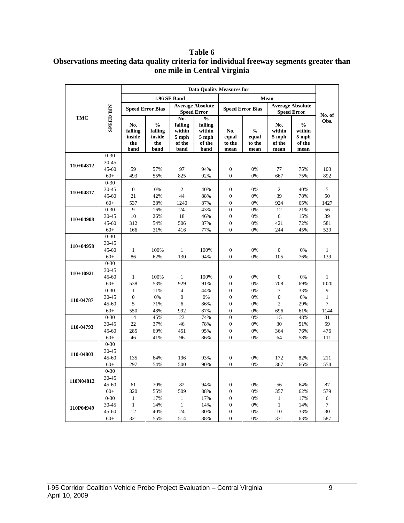#### **Table 6 Observations meeting data quality criteria for individual freeway segments greater than one mile in Central Virginia**

|             |                    | <b>Data Quality Measures for</b>        |                                                   |                                                     |                                                                 |                                |                                          |                                          |                                                    |                     |
|-------------|--------------------|-----------------------------------------|---------------------------------------------------|-----------------------------------------------------|-----------------------------------------------------------------|--------------------------------|------------------------------------------|------------------------------------------|----------------------------------------------------|---------------------|
|             |                    |                                         |                                                   | 1.96 SE Band                                        |                                                                 |                                |                                          |                                          |                                                    |                     |
|             |                    | <b>Speed Error Bias</b>                 |                                                   |                                                     | <b>Average Absolute</b><br><b>Speed Error</b>                   |                                | <b>Speed Error Bias</b>                  |                                          | <b>Average Absolute</b><br><b>Speed Error</b>      | No. of              |
| <b>TMC</b>  | <b>SPEED BIN</b>   | No.<br>falling<br>inside<br>the<br>band | $\frac{0}{0}$<br>falling<br>inside<br>the<br>band | No.<br>falling<br>within<br>5 mph<br>of the<br>band | $\frac{0}{0}$<br>falling<br>within<br>$5$ mph<br>of the<br>band | No.<br>equal<br>to the<br>mean | $\frac{0}{0}$<br>equal<br>to the<br>mean | No.<br>within<br>5 mph<br>of the<br>mean | $\frac{0}{0}$<br>within<br>5 mph<br>of the<br>mean | Obs.                |
|             | $0 - 30$           |                                         |                                                   |                                                     |                                                                 |                                |                                          |                                          |                                                    |                     |
| 110+04812   | 30-45              |                                         |                                                   |                                                     |                                                                 |                                |                                          |                                          |                                                    |                     |
|             | $45 - 60$          | 59                                      | 57%                                               | 97                                                  | 94%                                                             | $\boldsymbol{0}$               | 0%                                       | 77                                       | 75%                                                | 103                 |
|             | $60+$              | 493                                     | 55%                                               | 825                                                 | 92%                                                             | $\mathbf{0}$                   | 0%                                       | 667                                      | 75%                                                | 892                 |
|             | $0 - 30$           |                                         |                                                   |                                                     |                                                                 |                                |                                          |                                          |                                                    |                     |
| $110+04817$ | 30-45              | $\boldsymbol{0}$                        | 0%                                                | $\overline{c}$                                      | 40%                                                             | $\boldsymbol{0}$               | 0%                                       | $\overline{2}$                           | 40%                                                | 5                   |
|             | $45 - 60$          | 21                                      | 42%                                               | 44                                                  | 88%                                                             | $\boldsymbol{0}$               | 0%                                       | 39                                       | 78%                                                | 50                  |
|             | $60+$              | 537                                     | 38%                                               | 1240                                                | 87%                                                             | $\boldsymbol{0}$               | 0%                                       | 924                                      | 65%                                                | 1427                |
| $110+04908$ | $0 - 30$           | 9                                       | 16%                                               | 24                                                  | 43%                                                             | $\boldsymbol{0}$               | 0%                                       | 12                                       | 21%                                                | 56                  |
|             | 30-45              | 10                                      | 26%                                               | 18                                                  | 46%                                                             | $\boldsymbol{0}$               | 0%                                       | 6                                        | 15%                                                | 39                  |
|             | $45 - 60$          | 312                                     | 54%                                               | 506                                                 | 87%                                                             | $\boldsymbol{0}$               | 0%                                       | 421                                      | 72%                                                | 581                 |
|             | $60+$              | 166                                     | 31%                                               | 416                                                 | 77%                                                             | $\overline{0}$                 | 0%                                       | 244                                      | 45%                                                | 539                 |
|             | $0 - 30$           |                                         |                                                   |                                                     |                                                                 |                                |                                          |                                          |                                                    |                     |
| $110+04958$ | 30-45              |                                         |                                                   |                                                     |                                                                 | $\boldsymbol{0}$               |                                          | $\boldsymbol{0}$                         |                                                    |                     |
|             | $45 - 60$<br>$60+$ | $\mathbf{1}$<br>86                      | 100%<br>62%                                       | $\mathbf{1}$<br>130                                 | 100%<br>94%                                                     | $\overline{0}$                 | 0%<br>0%                                 | 105                                      | 0%<br>76%                                          | $\mathbf{1}$<br>139 |
|             | $0 - 30$           |                                         |                                                   |                                                     |                                                                 |                                |                                          |                                          |                                                    |                     |
|             | 30-45              |                                         |                                                   |                                                     |                                                                 |                                |                                          |                                          |                                                    |                     |
| $110+10921$ | 45-60              | $\mathbf{1}$                            | 100%                                              | $\mathbf{1}$                                        | 100%                                                            | $\boldsymbol{0}$               | 0%                                       | $\boldsymbol{0}$                         | 0%                                                 | 1                   |
|             | $60+$              | 538                                     | 53%                                               | 929                                                 | 91%                                                             | $\boldsymbol{0}$               | 0%                                       | 708                                      | 69%                                                | 1020                |
|             | $0 - 30$           | $\mathbf{1}$                            | 11%                                               | $\overline{4}$                                      | 44%                                                             | $\boldsymbol{0}$               | 0%                                       | 3                                        | 33%                                                | 9                   |
|             | 30-45              | $\boldsymbol{0}$                        | 0%                                                | $\boldsymbol{0}$                                    | 0%                                                              | $\overline{0}$                 | 0%                                       | $\boldsymbol{0}$                         | 0%                                                 | $\mathbf{1}$        |
| 110-04787   | $45 - 60$          | 5                                       | 71%                                               | 6                                                   | 86%                                                             | $\boldsymbol{0}$               | 0%                                       | $\overline{c}$                           | 29%                                                | $\tau$              |
|             | $60+$              | 550                                     | 48%                                               | 992                                                 | 87%                                                             | $\overline{0}$                 | 0%                                       | 696                                      | 61%                                                | 1144                |
|             | $0 - 30$           | 14                                      | 45%                                               | 23                                                  | 74%                                                             | $\overline{0}$                 | 0%                                       | 15                                       | 48%                                                | 31                  |
|             | 30-45              | 22                                      | 37%                                               | 46                                                  | 78%                                                             | $\overline{0}$                 | 0%                                       | 30                                       | 51%                                                | 59                  |
| 110-04793   | $45 - 60$          | 285                                     | 60%                                               | 451                                                 | 95%                                                             | $\boldsymbol{0}$               | 0%                                       | 364                                      | 76%                                                | 476                 |
|             | $60+$              | 46                                      | 41%                                               | 96                                                  | 86%                                                             | $\overline{0}$                 | 0%                                       | 64                                       | 58%                                                | 111                 |
|             | $0 - 30$           |                                         |                                                   |                                                     |                                                                 |                                |                                          |                                          |                                                    |                     |
| 110-04803   | 30-45              |                                         |                                                   |                                                     |                                                                 |                                |                                          |                                          |                                                    |                     |
|             | $45 - 60$          | 135                                     | 64%                                               | 196                                                 | 93%                                                             | $\boldsymbol{0}$               | 0%                                       | 172                                      | 82%                                                | 211                 |
|             | $60+$              | 297                                     | 54%                                               | 500                                                 | 90%                                                             | $\overline{0}$                 | 0%                                       | 367                                      | 66%                                                | 554                 |
|             | $0 - 30$           |                                         |                                                   |                                                     |                                                                 |                                |                                          |                                          |                                                    |                     |
| 110N04812   | 30-45              |                                         |                                                   |                                                     |                                                                 |                                |                                          |                                          |                                                    |                     |
|             | $45 - 60$          | 61                                      | 70%                                               | 82                                                  | 94%                                                             | $\boldsymbol{0}$               | 0%                                       | 56                                       | 64%                                                | 87                  |
|             | $60+$              | 320                                     | 55%                                               | 509                                                 | 88%                                                             | $\boldsymbol{0}$               | 0%                                       | 357                                      | 62%                                                | 579                 |
|             | $0 - 30$           | $\mathbf{1}$                            | 17%                                               | $\mathbf{1}$                                        | 17%                                                             | $\boldsymbol{0}$               | 0%                                       | $\mathbf{1}$                             | 17%                                                | 6                   |
| 110P04949   | 30-45              | $\mathbf{1}$                            | 14%                                               | $\mathbf{1}$                                        | 14%                                                             | $\overline{0}$                 | 0%                                       | $\mathbf{1}$                             | 14%                                                | $\tau$              |
|             | $45 - 60$          | 12                                      | 40%                                               | 24                                                  | 80%                                                             | $\boldsymbol{0}$               | 0%                                       | 10                                       | 33%                                                | 30                  |
|             | $60+$              | 321                                     | 55%                                               | 514                                                 | 88%                                                             | $\overline{0}$                 | 0%                                       | 371                                      | 63%                                                | 587                 |